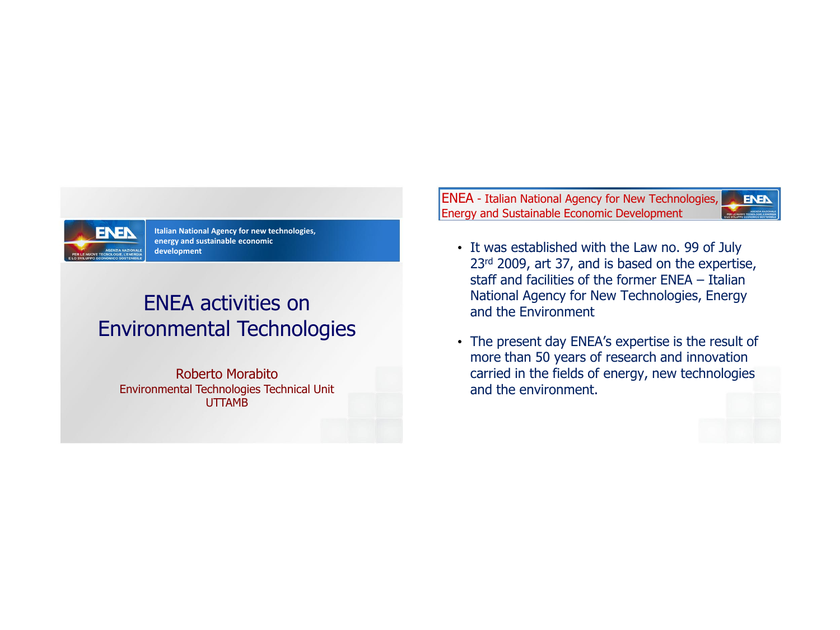

**Italian National Agency for new technologies, energy and sustainable economic development**

# ENEA activities on Environmental Technologies

Roberto Morabito Environmental Technologies Technical Unit UTTAMB

ENEA - Italian National Agency for New Technologies, **ENER** Energy and Sustainable Economic Development

- It was established with the Law no. 99 of July 23<sup>rd</sup> 2009, art 37, and is based on the expertise, staff and facilities of the former ENEA – Italian National Agency for New Technologies, Energy and the Environment
- The present day ENEA's expertise is the result of more than 50 years of research and innovation carried in the fields of energy, new technologies and the environment.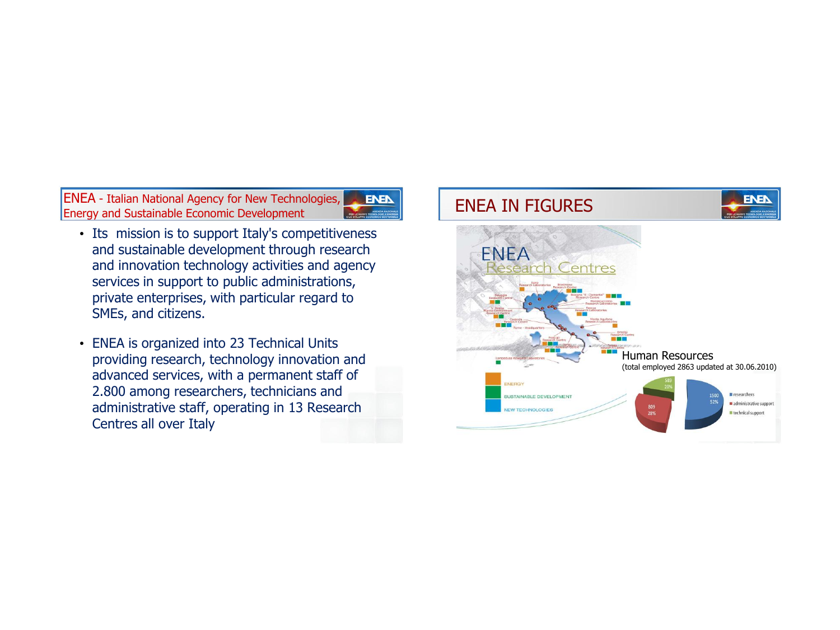ENEA - Italian National Agency for New Technologies, ENEA - Italian National Agency for New Technologies, ENEA | ENEA IN FIGURES

- Its mission is to support Italy's competitiveness and sustainable development through research and innovation technology activities and agency services in support to public administrations, private enterprises, with particular regard to SMEs, and citizens.
- ENEA is organized into 23 Technical Units providing research, technology innovation and advanced services, with a permanent staff of 2.800 among researchers, technicians and administrative staff, operating in 13 Research Centres all over Italy

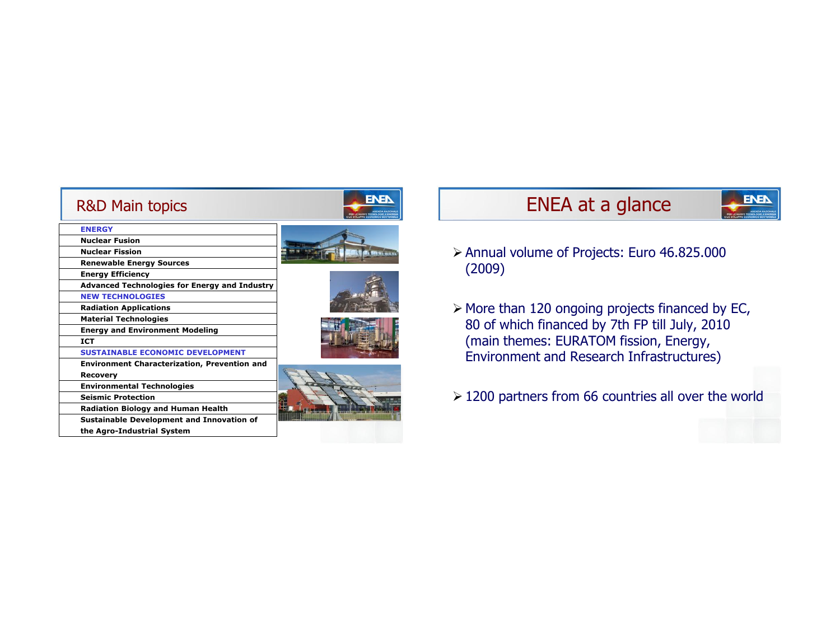| <b>R&amp;D Main topics</b>                          | O SYE UPPD FCO  |
|-----------------------------------------------------|-----------------|
| <b>ENERGY</b>                                       |                 |
| <b>Nuclear Fusion</b>                               |                 |
| <b>Nuclear Fission</b>                              |                 |
| <b>Renewable Energy Sources</b>                     |                 |
| <b>Energy Efficiency</b>                            |                 |
| Advanced Technologies for Energy and Industry       |                 |
| <b>NEW TECHNOLOGIES</b>                             |                 |
| <b>Radiation Applications</b>                       |                 |
| <b>Material Technologies</b>                        |                 |
| <b>Energy and Environment Modeling</b>              |                 |
| <b>ICT</b>                                          |                 |
| <b>SUSTAINABLE ECONOMIC DEVELOPMENT</b>             |                 |
| <b>Environment Characterization, Prevention and</b> |                 |
| <b>Recovery</b>                                     |                 |
| <b>Environmental Technologies</b>                   |                 |
| <b>Seismic Protection</b>                           |                 |
| <b>Radiation Biology and Human Health</b>           | <b>CHEESING</b> |
| Sustainable Development and Innovation of           |                 |
| the Agro-Industrial System                          |                 |

# ENEA at a glance

**ENET** 

- Annual volume of Projects: Euro 46.825.000 (2009)
- $\triangleright$  More than 120 ongoing projects financed by EC, 80 of which financed by 7th FP till July, 2010 (main themes: EURATOM fission, Energy, Environment and Research Infrastructures)
- 1200 partners from 66 countries all over the world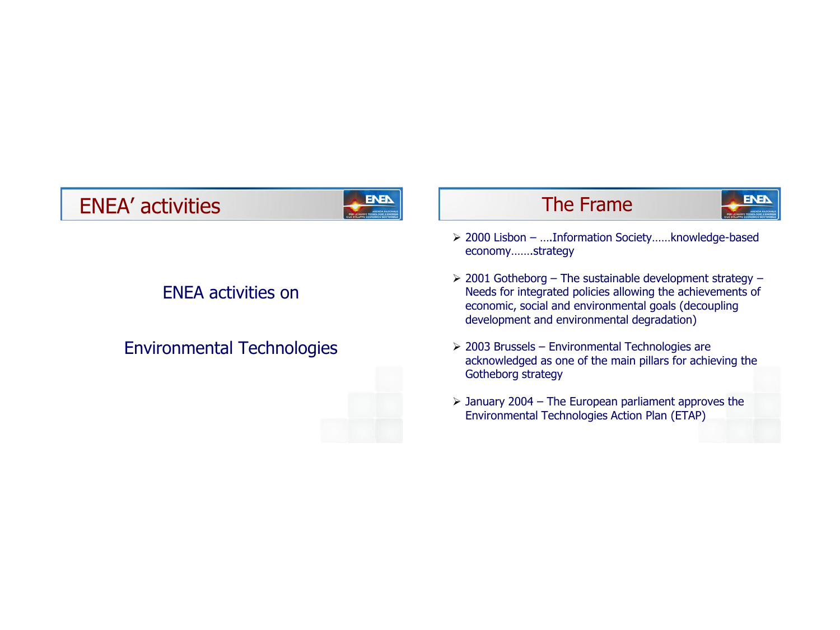# ENEA' activities The Frame

## ENEA activities on

## Environmental Technologies



 2000 Lisbon – ….Information Society……knowledge-based economy…….strategy

**ENER** 

- $\geq$  2001 Gotheborg The sustainable development strategy Needs for integrated policies allowing the achievements of economic, social and environmental goals (decoupling development and environmental degradation)
- $>$  2003 Brussels Environmental Technologies are acknowledged as one of the main pillars for achieving the Gotheborg strategy
- $\triangleright$  January 2004 The European parliament approves the Environmental Technologies Action Plan (ETAP)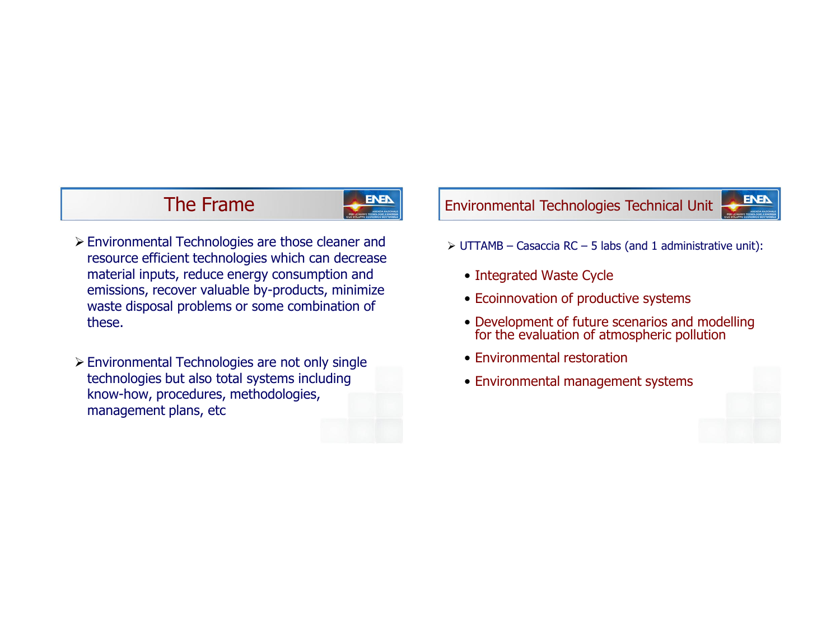## The Frame



- Environmental Technologies are those cleaner and resource efficient technologies which can decrease material inputs, reduce energy consumption and emissions, recover valuable by-products, minimize waste disposal problems or some combination of these.
- Environmental Technologies are not only single technologies but also total systems including know-how, procedures, methodologies, management plans, etc

## Environmental Technologies Technical Unit

- $\triangleright$  UTTAMB Casaccia RC 5 labs (and 1 administrative unit):
	- Integrated Waste Cycle
	- Ecoinnovation of productive systems
	- Development of future scenarios and modelling for the evaluation of atmospheric pollution
	- Environmental restoration
	- Environmental management systems



**ENER**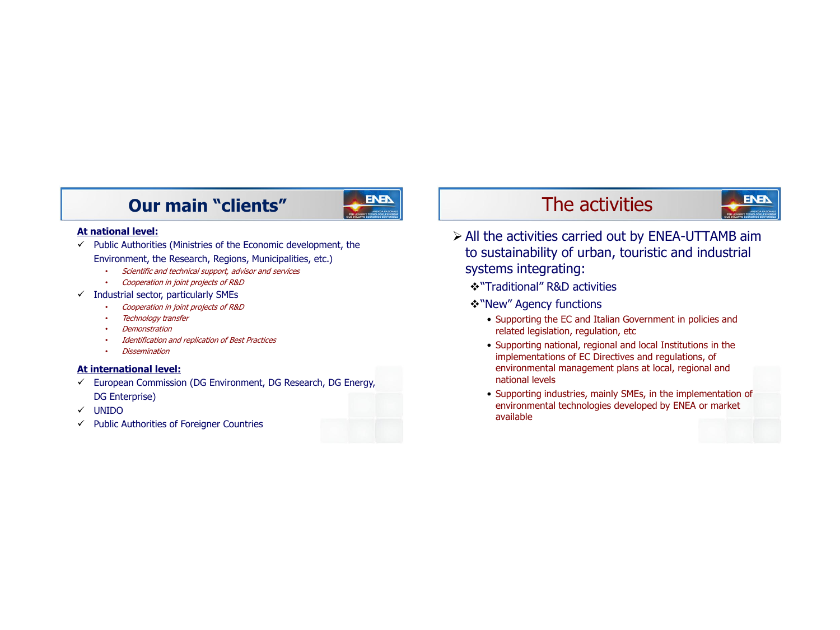## **Our main "clients"** The activities



#### **At national level:**

- $\checkmark$  Public Authorities (Ministries of the Economic development, the Environment, the Research, Regions, Municipalities, etc.)
	- Scientific and technical support, advisor and services
	- Cooperation in joint projects of R&D
- $\checkmark$  Industrial sector, particularly SMEs
	- Cooperation in joint projects of R&D
	- **Technology transfer**
	- Demonstration
	- Identification and replication of Best Practices
	- Dissemination

### **At international level:**

- $\checkmark$  European Commission (DG Environment, DG Research, DG Energy, DG Enterprise)
- UNIDO
- $\checkmark$  Public Authorities of Foreigner Countries

# **ENEN**

- $\triangleright$  All the activities carried out by ENEA-UTTAMB aim to sustainability of urban, touristic and industrial systems integrating:
	- "Traditional" R&D activities
	- "New" Agency functions
		- Supporting the EC and Italian Government in policies and related legislation, regulation, etc
		- Supporting national, regional and local Institutions in the implementations of EC Directives and regulations, of environmental management plans at local, regional and national levels
		- Supporting industries, mainly SMEs, in the implementation of environmental technologies developed by ENEA or market available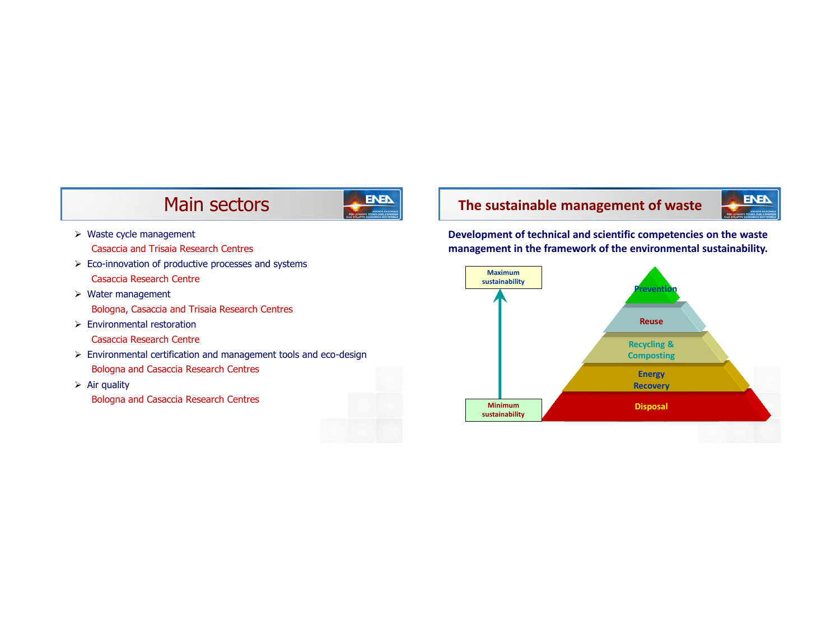## Main sectors



- $\triangleright$  Waste cycle management Casaccia and Trisaia Research Centres
- $\triangleright$  Eco-innovation of productive processes and systems Casaccia Research Centre
- $\triangleright$  Water management Bologna, Casaccia and Trisaia Research Centres
- $\triangleright$  Environmental restoration
	- Casaccia Research Centre
- Environmental certification and management tools and eco-design Bologna and Casaccia Research Centres
- $\triangleright$  Air quality Bologna and Casaccia Research Centres

## **The sustainable management of waste**



**Development of technical and scientific competencies on the waste management in the framework of the environmental sustainability.**

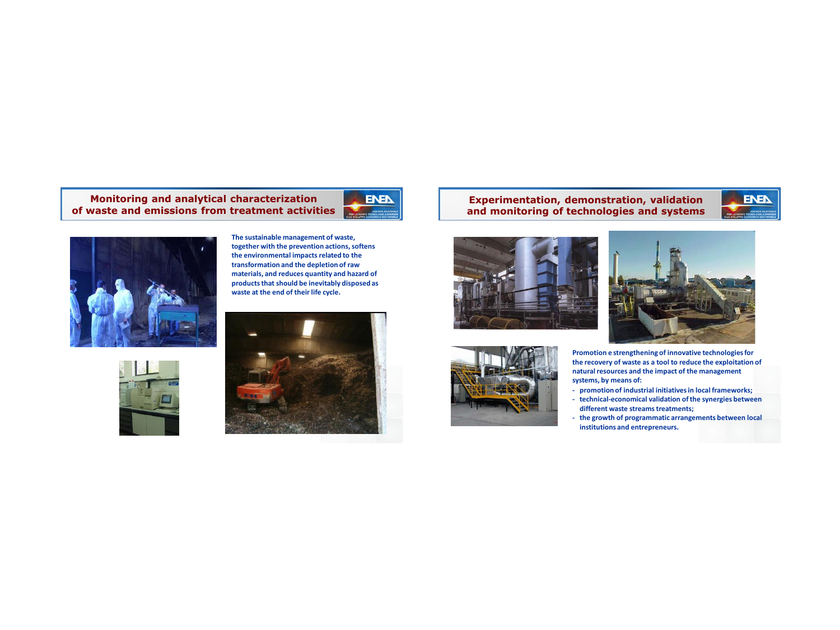#### **Monitoring and analytical characterization of waste and emissions from treatment activities**



**The sustainable management of waste, together with the prevention actions, softens the environmental impacts related to the transformation and the depletion of raw materials, and reduces quantity and hazard of products that should be inevitably disposed as waste at the end of their life cycle.**

**ENEN** 





### **Experimentation, demonstration, validation and monitoring of technologies and systems**





**Promotion e strengthening of innovative technologies for the recovery of waste as a tool to reduce the exploitation of natural resources and the impact of the management systems, by means of:**

**ENEN** 

- **- promotion of industrial initiatives in local frameworks;**
- **- technical-economical validation of the synergies between different waste streams treatments;**
- **- the growth of programmatic arrangements between local institutions and entrepreneurs.**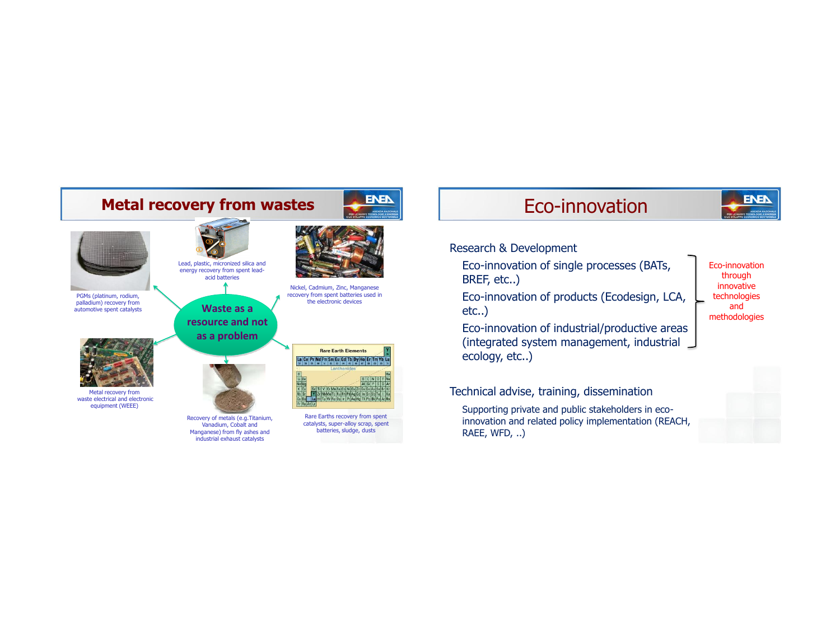

# **ENEN**

Eco-innovation through innovative

### Research & Development

- Eco-innovation of single processes (BATs, BREF, etc..)
- Eco-innovation of products (Ecodesign, LCA, etc..)
	- technologies and methodologies
- Eco-innovation of industrial/productive areas (integrated system management, industrial ecology, etc..)

### Technical advise, training, dissemination

Supporting private and public stakeholders in ecoinnovation and related policy implementation (REACH, RAEE, WFD, ..)

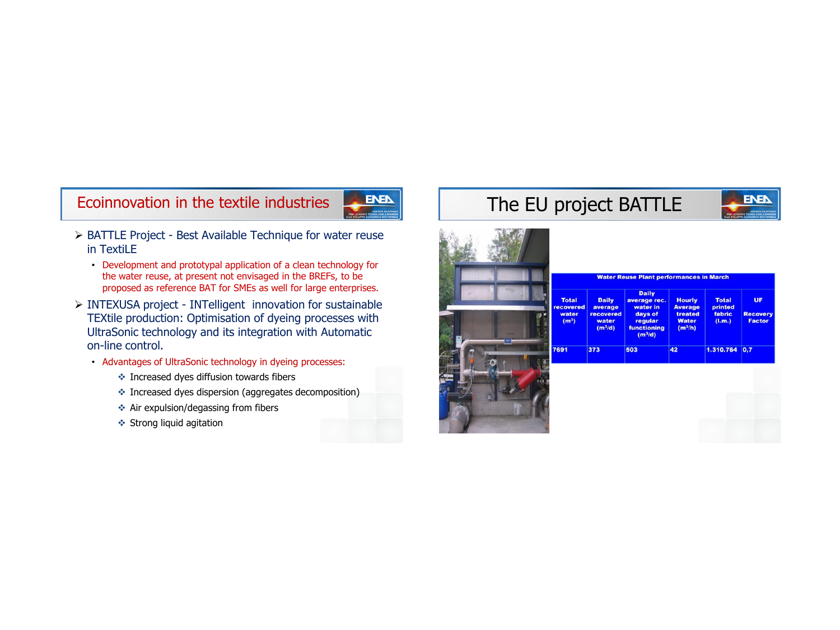

- BATTLE Project Best Available Technique for water reuse in TextiLE
	- Development and prototypal application of a clean technology for the water reuse, at present not envisaged in the BREFs, to be proposed as reference BAT for SMEs as well for large enterprises.
- INTEXUSA project INTelligent innovation for sustainable TEXtile production: Optimisation of dyeing processes with UltraSonic technology and its integration with Automatic on-line control.
	- Advantages of UltraSonic technology in dyeing processes:
		- $\triangleq$  Increased dyes diffusion towards fibers
		- Increased dyes dispersion (aggregates decomposition)
		- $\triangleq$  Air expulsion/degassing from fibers
		- Strong liquid agitation

# Ecoinnovation in the textile industries The EU project BATTLE



UF

Recover

Factor

s in March

**Total** 

printed<br>fabric

 $(l.m.)$ 

 $1.310.764$  0,7

|                                                         |                                                            | <b>Water Reuse Plant performance</b>                                                              |                                                               |
|---------------------------------------------------------|------------------------------------------------------------|---------------------------------------------------------------------------------------------------|---------------------------------------------------------------|
| <b>Total</b><br>recovered<br>water<br>(m <sup>3</sup> ) | <b>Daily</b><br>average<br>recovered<br>water<br>$(m^3/d)$ | <b>Daily</b><br>average rec.<br>water in<br>days of<br>regular<br><b>functioning</b><br>$(m^3/d)$ | <b>Houri</b><br><b>Averag</b><br>treate<br>Water<br>$(m^3/h)$ |
| 7691                                                    | 373                                                        | 503                                                                                               | 42                                                            |
|                                                         |                                                            |                                                                                                   |                                                               |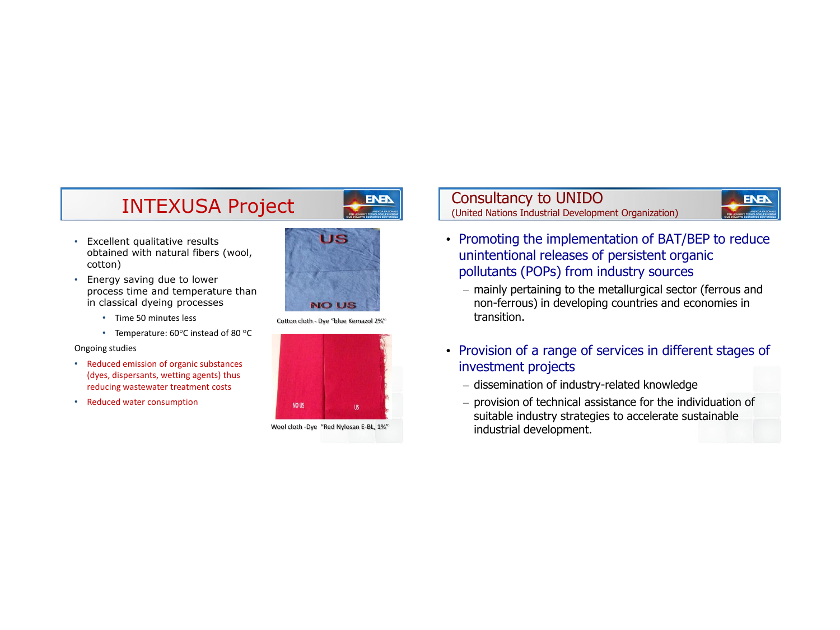# INTEXUSA Project

- Excellent qualitative results obtained with natural fibers (wool, cotton)
- Energy saving due to lower process time and temperature than in classical dyeing processes
	- Time 50 minutes less
	- Temperature:  $60^{\circ}$ C instead of 80 $^{\circ}$ C

#### Ongoing studies

- Reduced emission of organic substances (dyes, dispersants, wetting agents) thus reducing wastewater treatment costs
- Reduced water consumption



**ENEN** 

Cotton cloth - Dye "blue Kemazol 2%"



Wool cloth -Dye "Red Nylosan E-BL, 1%"

Consultancy to UNIDO (United Nations Industrial Development Organization)



- Promoting the implementation of BAT/BEP to reduce unintentional releases of persistent organic pollutants (POPs) from industry sources
	- mainly pertaining to the metallurgical sector (ferrous and non-ferrous) in developing countries and economies in transition.
- Provision of a range of services in different stages of investment projects
	- dissemination of industry-related knowledge
	- provision of technical assistance for the individuation of suitable industry strategies to accelerate sustainable industrial development.